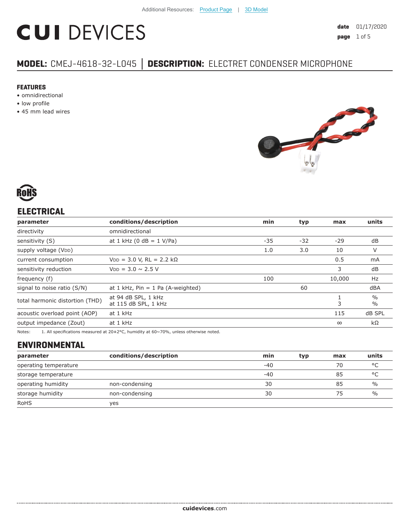# **CUI DEVICES**

# **MODEL:** CMEJ-4618-32-L045 **│ DESCRIPTION:** ELECTRET CONDENSER MICROPHONE

#### **FEATURES**

- omnidirectional
- low profile
- 45 mm lead wires





# **ELECTRICAL**

| dB<br>$-29$                            |
|----------------------------------------|
|                                        |
|                                        |
| V                                      |
| mA                                     |
| dB                                     |
| 10,000<br>Hz                           |
| dBA                                    |
| $\frac{0}{0}$<br>$\frac{0}{0}$         |
| dB SPL                                 |
| $k\Omega$                              |
| 10<br>0.5<br>3<br>3<br>115<br>$\infty$ |

Notes: 1. All specifications measured at 20±2°C, humidity at 60~70%, unless otherwise noted.

# **ENVIRONMENTAL**

| parameter             | conditions/description | min   | typ | max | units         |
|-----------------------|------------------------|-------|-----|-----|---------------|
| operating temperature |                        | -40   |     | 70  | $\circ$       |
| storage temperature   |                        | $-40$ |     | 85  | °C            |
| operating humidity    | non-condensing         | 30    |     | 85  | $\%$          |
| storage humidity      | non-condensing         | 30    |     | 75  | $\frac{0}{0}$ |
| <b>RoHS</b>           | yes                    |       |     |     |               |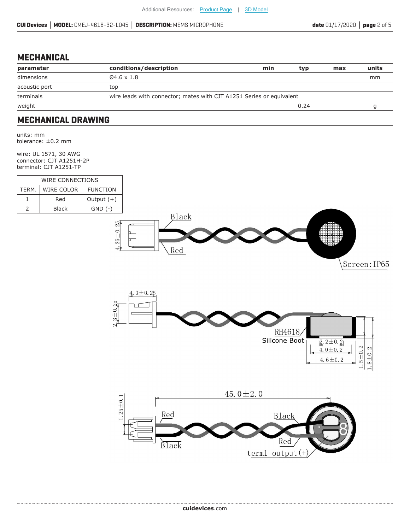#### **MECHANICAL**

| parameter     | conditions/description                                               | min | typ  | max | units |
|---------------|----------------------------------------------------------------------|-----|------|-----|-------|
| dimensions    | $04.6 \times 1.8$                                                    |     |      |     | mm    |
| acoustic port | top                                                                  |     |      |     |       |
| terminals     | wire leads with connector; mates with CJT A1251 Series or equivalent |     |      |     |       |
| weight        |                                                                      |     | 0.24 |     |       |
|               |                                                                      |     |      |     |       |

#### **MECHANICAL DRAWING**

units: mm tolerance: ±0.2 mm

wire: UL 1571, 30 AWG connector: CJT A1251H-2P terminal: CJT A1251-TP

| WIRE CONNECTIONS |                   |                 |  |
|------------------|-------------------|-----------------|--|
| TFRM.            | <b>WIRE COLOR</b> | <b>FUNCTION</b> |  |
|                  | Red               | Output $(+)$    |  |
|                  | Black             | $GND$ $(-)$     |  |







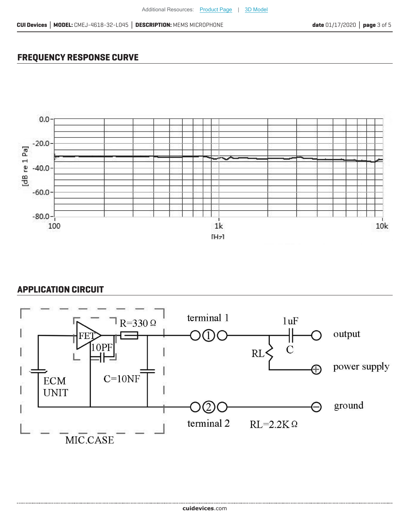## **FREQUENCY RESPONSE CURVE**



### **APPLICATION CIRCUIT**

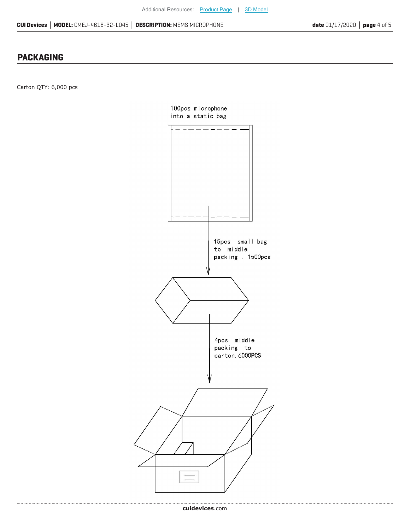#### **PACKAGING**

Carton QTY: 6,000 pcs